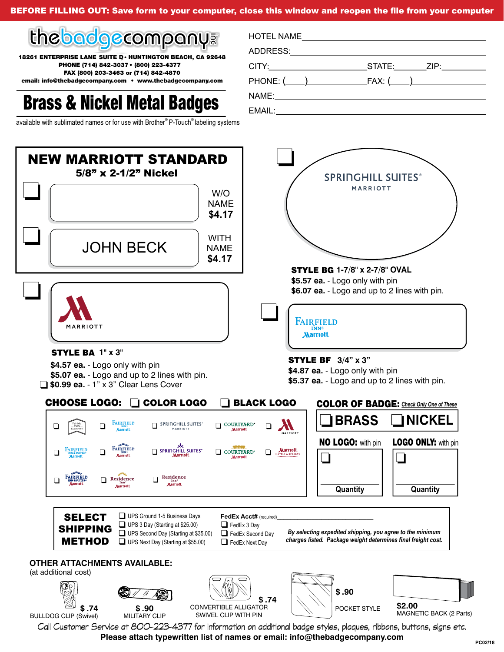BEFORE FILLING OUT: Save form to your computer, close this window and reopen the file from your computer



18261 ENTERPRISE LANE SUITE D · HUNTINGTON BEACH, CA 92648 PHONE (714) 842-3037 • (800) 223-4377 FAX (800) 203-3463 or (714) 842-4870 ® ® available with sublimated names or for use with Brother P-Touch labeling systems inc

email: info@thebadgecompany.com • www.thebadgecompany.com

## Brass & Nickel Metal Badges **NAME:**

| HOTEL NAME |                                                                       |
|------------|-----------------------------------------------------------------------|
|            |                                                                       |
|            | STATE: ZIP:                                                           |
|            | $PHONE: (\begin{array}{c} \begin{array}{c} \end{array} ) \end{array}$ |
|            |                                                                       |
|            |                                                                       |



Call Customer Service at 800-223-4377 for information on additional badge styles, plaques, ribbons, buttons, signs etc. **Please attach typewritten list of names or email: info@thebadgecompany.com**